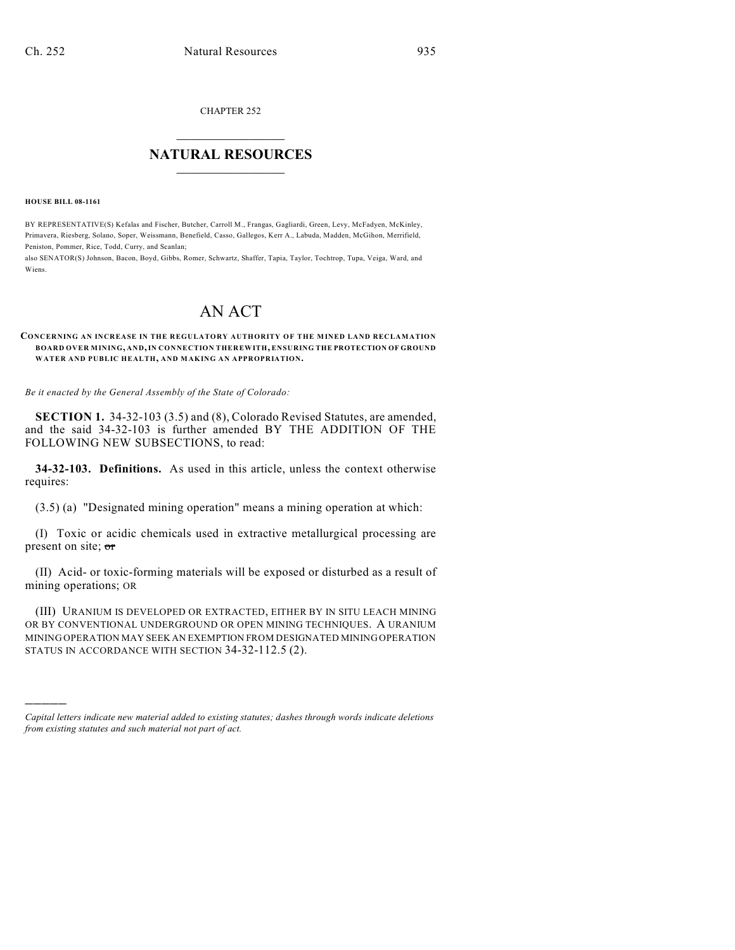CHAPTER 252

# $\mathcal{L}_\text{max}$  . The set of the set of the set of the set of the set of the set of the set of the set of the set of the set of the set of the set of the set of the set of the set of the set of the set of the set of the set **NATURAL RESOURCES**  $\frac{1}{\sqrt{2}}$  , where  $\frac{1}{\sqrt{2}}$  ,  $\frac{1}{\sqrt{2}}$  ,  $\frac{1}{\sqrt{2}}$

**HOUSE BILL 08-1161**

)))))

BY REPRESENTATIVE(S) Kefalas and Fischer, Butcher, Carroll M., Frangas, Gagliardi, Green, Levy, McFadyen, McKinley, Primavera, Riesberg, Solano, Soper, Weissmann, Benefield, Casso, Gallegos, Kerr A., Labuda, Madden, McGihon, Merrifield, Peniston, Pommer, Rice, Todd, Curry, and Scanlan;

also SENATOR(S) Johnson, Bacon, Boyd, Gibbs, Romer, Schwartz, Shaffer, Tapia, Taylor, Tochtrop, Tupa, Veiga, Ward, and Wiens.

# AN ACT

#### **CONCERNING AN INCREASE IN THE REGULATORY AUTHORITY OF THE MINED LAND RECLAMATION BOARD OVER MINING, AND, IN CONNECTION THEREWITH, ENSURING THE PROTECTION OF GROUND WATER AND PUBLIC HEALTH, AND MAKING AN APPROPRIATION.**

*Be it enacted by the General Assembly of the State of Colorado:*

**SECTION 1.** 34-32-103 (3.5) and (8), Colorado Revised Statutes, are amended, and the said 34-32-103 is further amended BY THE ADDITION OF THE FOLLOWING NEW SUBSECTIONS, to read:

**34-32-103. Definitions.** As used in this article, unless the context otherwise requires:

(3.5) (a) "Designated mining operation" means a mining operation at which:

(I) Toxic or acidic chemicals used in extractive metallurgical processing are present on site; or

(II) Acid- or toxic-forming materials will be exposed or disturbed as a result of mining operations; OR

(III) URANIUM IS DEVELOPED OR EXTRACTED, EITHER BY IN SITU LEACH MINING OR BY CONVENTIONAL UNDERGROUND OR OPEN MINING TECHNIQUES. A URANIUM MINING OPERATION MAY SEEK AN EXEMPTION FROM DESIGNATED MINING OPERATION STATUS IN ACCORDANCE WITH SECTION 34-32-112.5 (2).

*Capital letters indicate new material added to existing statutes; dashes through words indicate deletions from existing statutes and such material not part of act.*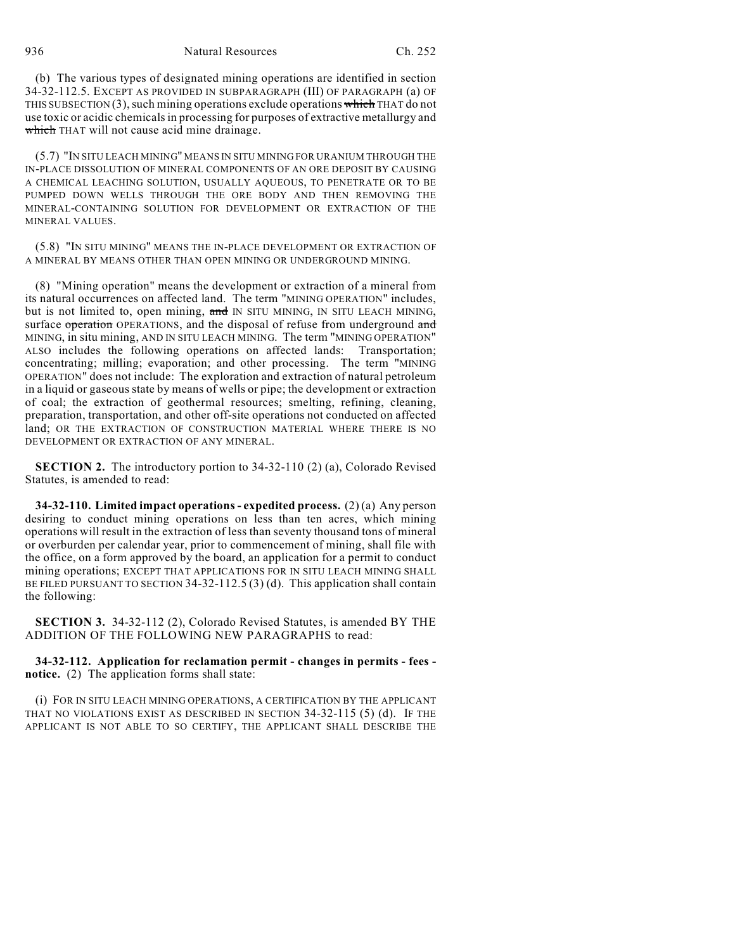936 Natural Resources Ch. 252

(b) The various types of designated mining operations are identified in section 34-32-112.5. EXCEPT AS PROVIDED IN SUBPARAGRAPH (III) OF PARAGRAPH (a) OF THIS SUBSECTION  $(3)$ , such mining operations exclude operations which THAT do not use toxic or acidic chemicals in processing for purposes of extractive metallurgy and which THAT will not cause acid mine drainage.

(5.7) "IN SITU LEACH MINING" MEANS IN SITU MINING FOR URANIUM THROUGH THE IN-PLACE DISSOLUTION OF MINERAL COMPONENTS OF AN ORE DEPOSIT BY CAUSING A CHEMICAL LEACHING SOLUTION, USUALLY AQUEOUS, TO PENETRATE OR TO BE PUMPED DOWN WELLS THROUGH THE ORE BODY AND THEN REMOVING THE MINERAL-CONTAINING SOLUTION FOR DEVELOPMENT OR EXTRACTION OF THE MINERAL VALUES.

(5.8) "IN SITU MINING" MEANS THE IN-PLACE DEVELOPMENT OR EXTRACTION OF A MINERAL BY MEANS OTHER THAN OPEN MINING OR UNDERGROUND MINING.

(8) "Mining operation" means the development or extraction of a mineral from its natural occurrences on affected land. The term "MINING OPERATION" includes, but is not limited to, open mining, and IN SITU MINING, IN SITU LEACH MINING, surface operation OPERATIONS, and the disposal of refuse from underground and MINING, in situ mining, AND IN SITU LEACH MINING. The term "MINING OPERATION" ALSO includes the following operations on affected lands: Transportation; concentrating; milling; evaporation; and other processing. The term "MINING OPERATION" does not include: The exploration and extraction of natural petroleum in a liquid or gaseous state by means of wells or pipe; the development or extraction of coal; the extraction of geothermal resources; smelting, refining, cleaning, preparation, transportation, and other off-site operations not conducted on affected land; OR THE EXTRACTION OF CONSTRUCTION MATERIAL WHERE THERE IS NO DEVELOPMENT OR EXTRACTION OF ANY MINERAL.

**SECTION 2.** The introductory portion to 34-32-110 (2) (a), Colorado Revised Statutes, is amended to read:

**34-32-110. Limited impact operations - expedited process.** (2) (a) Any person desiring to conduct mining operations on less than ten acres, which mining operations will result in the extraction of less than seventy thousand tons of mineral or overburden per calendar year, prior to commencement of mining, shall file with the office, on a form approved by the board, an application for a permit to conduct mining operations; EXCEPT THAT APPLICATIONS FOR IN SITU LEACH MINING SHALL BE FILED PURSUANT TO SECTION 34-32-112.5 (3) (d). This application shall contain the following:

**SECTION 3.** 34-32-112 (2), Colorado Revised Statutes, is amended BY THE ADDITION OF THE FOLLOWING NEW PARAGRAPHS to read:

**34-32-112. Application for reclamation permit - changes in permits - fees notice.** (2) The application forms shall state:

(i) FOR IN SITU LEACH MINING OPERATIONS, A CERTIFICATION BY THE APPLICANT THAT NO VIOLATIONS EXIST AS DESCRIBED IN SECTION 34-32-115 (5) (d). IF THE APPLICANT IS NOT ABLE TO SO CERTIFY, THE APPLICANT SHALL DESCRIBE THE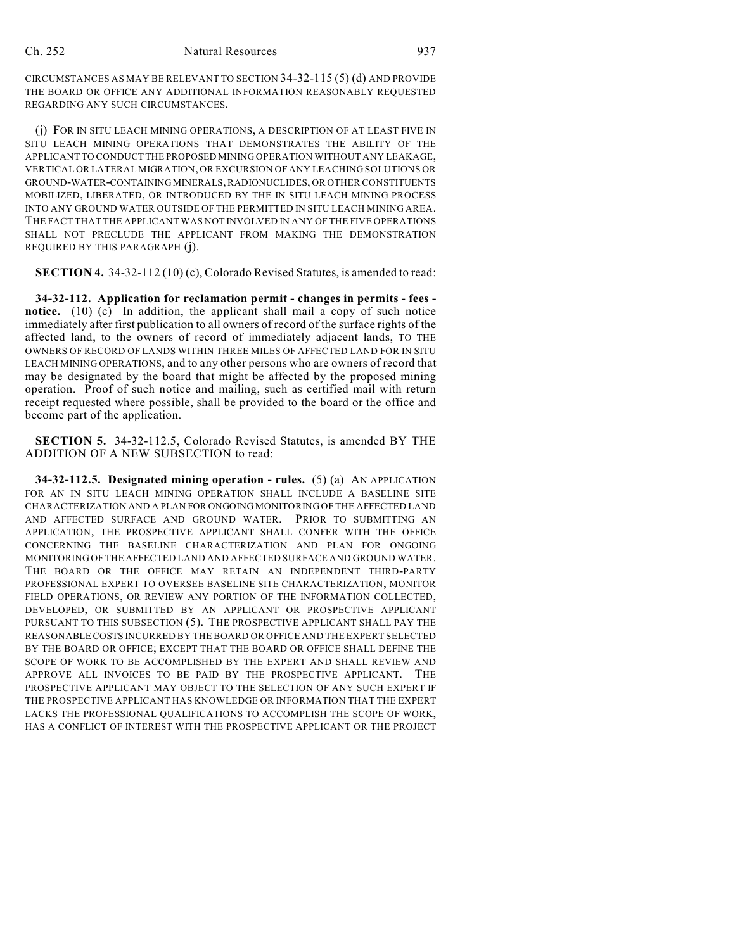CIRCUMSTANCES AS MAY BE RELEVANT TO SECTION 34-32-115 (5) (d) AND PROVIDE THE BOARD OR OFFICE ANY ADDITIONAL INFORMATION REASONABLY REQUESTED REGARDING ANY SUCH CIRCUMSTANCES.

(j) FOR IN SITU LEACH MINING OPERATIONS, A DESCRIPTION OF AT LEAST FIVE IN SITU LEACH MINING OPERATIONS THAT DEMONSTRATES THE ABILITY OF THE APPLICANT TO CONDUCT THE PROPOSED MINING OPERATION WITHOUT ANY LEAKAGE, VERTICAL OR LATERAL MIGRATION, OR EXCURSION OF ANY LEACHING SOLUTIONS OR GROUND-WATER-CONTAINING MINERALS, RADIONUCLIDES, OR OTHER CONSTITUENTS MOBILIZED, LIBERATED, OR INTRODUCED BY THE IN SITU LEACH MINING PROCESS INTO ANY GROUND WATER OUTSIDE OF THE PERMITTED IN SITU LEACH MINING AREA. THE FACT THAT THE APPLICANT WAS NOT INVOLVED IN ANY OF THE FIVE OPERATIONS SHALL NOT PRECLUDE THE APPLICANT FROM MAKING THE DEMONSTRATION REQUIRED BY THIS PARAGRAPH (j).

**SECTION 4.** 34-32-112 (10) (c), Colorado Revised Statutes, is amended to read:

**34-32-112. Application for reclamation permit - changes in permits - fees notice.** (10) (c) In addition, the applicant shall mail a copy of such notice immediately after first publication to all owners of record of the surface rights of the affected land, to the owners of record of immediately adjacent lands, TO THE OWNERS OF RECORD OF LANDS WITHIN THREE MILES OF AFFECTED LAND FOR IN SITU LEACH MINING OPERATIONS, and to any other persons who are owners of record that may be designated by the board that might be affected by the proposed mining operation. Proof of such notice and mailing, such as certified mail with return receipt requested where possible, shall be provided to the board or the office and become part of the application.

**SECTION 5.** 34-32-112.5, Colorado Revised Statutes, is amended BY THE ADDITION OF A NEW SUBSECTION to read:

**34-32-112.5. Designated mining operation - rules.** (5) (a) AN APPLICATION FOR AN IN SITU LEACH MINING OPERATION SHALL INCLUDE A BASELINE SITE CHARACTERIZATION AND A PLAN FOR ONGOING MONITORING OF THE AFFECTED LAND AND AFFECTED SURFACE AND GROUND WATER. PRIOR TO SUBMITTING AN APPLICATION, THE PROSPECTIVE APPLICANT SHALL CONFER WITH THE OFFICE CONCERNING THE BASELINE CHARACTERIZATION AND PLAN FOR ONGOING MONITORING OF THE AFFECTED LAND AND AFFECTED SURFACE AND GROUND WATER. THE BOARD OR THE OFFICE MAY RETAIN AN INDEPENDENT THIRD-PARTY PROFESSIONAL EXPERT TO OVERSEE BASELINE SITE CHARACTERIZATION, MONITOR FIELD OPERATIONS, OR REVIEW ANY PORTION OF THE INFORMATION COLLECTED, DEVELOPED, OR SUBMITTED BY AN APPLICANT OR PROSPECTIVE APPLICANT PURSUANT TO THIS SUBSECTION (5). THE PROSPECTIVE APPLICANT SHALL PAY THE REASONABLE COSTS INCURRED BY THE BOARD OR OFFICE AND THE EXPERT SELECTED BY THE BOARD OR OFFICE; EXCEPT THAT THE BOARD OR OFFICE SHALL DEFINE THE SCOPE OF WORK TO BE ACCOMPLISHED BY THE EXPERT AND SHALL REVIEW AND APPROVE ALL INVOICES TO BE PAID BY THE PROSPECTIVE APPLICANT. THE PROSPECTIVE APPLICANT MAY OBJECT TO THE SELECTION OF ANY SUCH EXPERT IF THE PROSPECTIVE APPLICANT HAS KNOWLEDGE OR INFORMATION THAT THE EXPERT LACKS THE PROFESSIONAL QUALIFICATIONS TO ACCOMPLISH THE SCOPE OF WORK, HAS A CONFLICT OF INTEREST WITH THE PROSPECTIVE APPLICANT OR THE PROJECT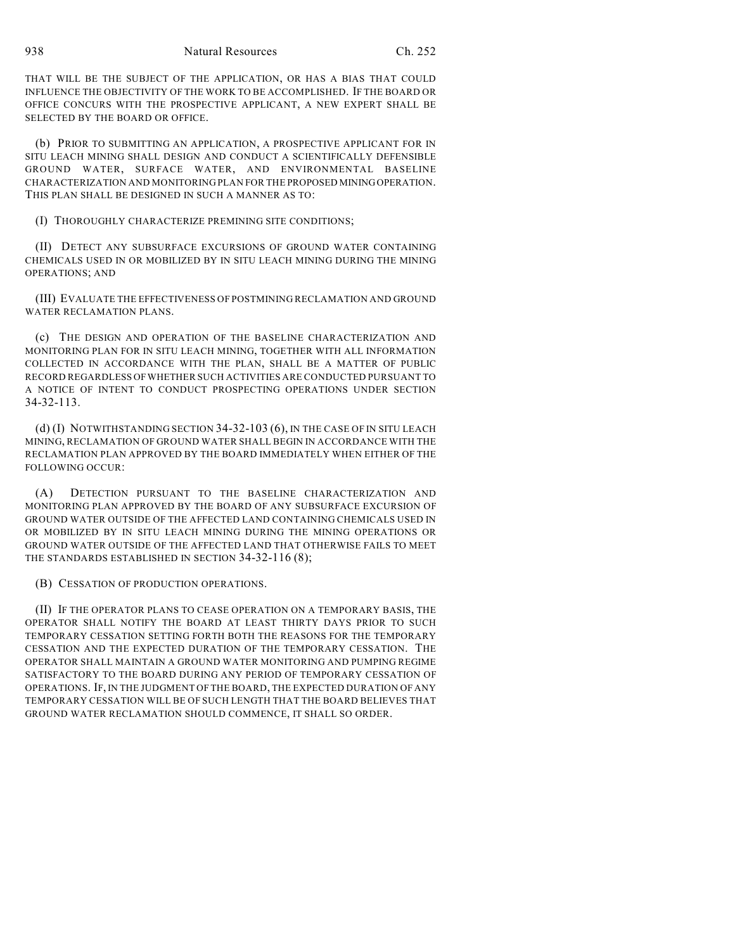938 Natural Resources Ch. 252

THAT WILL BE THE SUBJECT OF THE APPLICATION, OR HAS A BIAS THAT COULD INFLUENCE THE OBJECTIVITY OF THE WORK TO BE ACCOMPLISHED. IF THE BOARD OR OFFICE CONCURS WITH THE PROSPECTIVE APPLICANT, A NEW EXPERT SHALL BE SELECTED BY THE BOARD OR OFFICE.

(b) PRIOR TO SUBMITTING AN APPLICATION, A PROSPECTIVE APPLICANT FOR IN SITU LEACH MINING SHALL DESIGN AND CONDUCT A SCIENTIFICALLY DEFENSIBLE GROUND WATER, SURFACE WATER, AND ENVIRONMENTAL BASELINE CHARACTERIZATION AND MONITORING PLAN FOR THE PROPOSED MINING OPERATION. THIS PLAN SHALL BE DESIGNED IN SUCH A MANNER AS TO:

(I) THOROUGHLY CHARACTERIZE PREMINING SITE CONDITIONS;

(II) DETECT ANY SUBSURFACE EXCURSIONS OF GROUND WATER CONTAINING CHEMICALS USED IN OR MOBILIZED BY IN SITU LEACH MINING DURING THE MINING OPERATIONS; AND

(III) EVALUATE THE EFFECTIVENESS OF POSTMINING RECLAMATION AND GROUND WATER RECLAMATION PLANS.

(c) THE DESIGN AND OPERATION OF THE BASELINE CHARACTERIZATION AND MONITORING PLAN FOR IN SITU LEACH MINING, TOGETHER WITH ALL INFORMATION COLLECTED IN ACCORDANCE WITH THE PLAN, SHALL BE A MATTER OF PUBLIC RECORD REGARDLESS OF WHETHER SUCH ACTIVITIES ARE CONDUCTED PURSUANT TO A NOTICE OF INTENT TO CONDUCT PROSPECTING OPERATIONS UNDER SECTION 34-32-113.

(d) (I) NOTWITHSTANDING SECTION 34-32-103 (6), IN THE CASE OF IN SITU LEACH MINING, RECLAMATION OF GROUND WATER SHALL BEGIN IN ACCORDANCE WITH THE RECLAMATION PLAN APPROVED BY THE BOARD IMMEDIATELY WHEN EITHER OF THE FOLLOWING OCCUR:

(A) DETECTION PURSUANT TO THE BASELINE CHARACTERIZATION AND MONITORING PLAN APPROVED BY THE BOARD OF ANY SUBSURFACE EXCURSION OF GROUND WATER OUTSIDE OF THE AFFECTED LAND CONTAINING CHEMICALS USED IN OR MOBILIZED BY IN SITU LEACH MINING DURING THE MINING OPERATIONS OR GROUND WATER OUTSIDE OF THE AFFECTED LAND THAT OTHERWISE FAILS TO MEET THE STANDARDS ESTABLISHED IN SECTION 34-32-116 (8);

(B) CESSATION OF PRODUCTION OPERATIONS.

(II) IF THE OPERATOR PLANS TO CEASE OPERATION ON A TEMPORARY BASIS, THE OPERATOR SHALL NOTIFY THE BOARD AT LEAST THIRTY DAYS PRIOR TO SUCH TEMPORARY CESSATION SETTING FORTH BOTH THE REASONS FOR THE TEMPORARY CESSATION AND THE EXPECTED DURATION OF THE TEMPORARY CESSATION. THE OPERATOR SHALL MAINTAIN A GROUND WATER MONITORING AND PUMPING REGIME SATISFACTORY TO THE BOARD DURING ANY PERIOD OF TEMPORARY CESSATION OF OPERATIONS. IF, IN THE JUDGMENT OFTHE BOARD, THE EXPECTED DURATION OF ANY TEMPORARY CESSATION WILL BE OF SUCH LENGTH THAT THE BOARD BELIEVES THAT GROUND WATER RECLAMATION SHOULD COMMENCE, IT SHALL SO ORDER.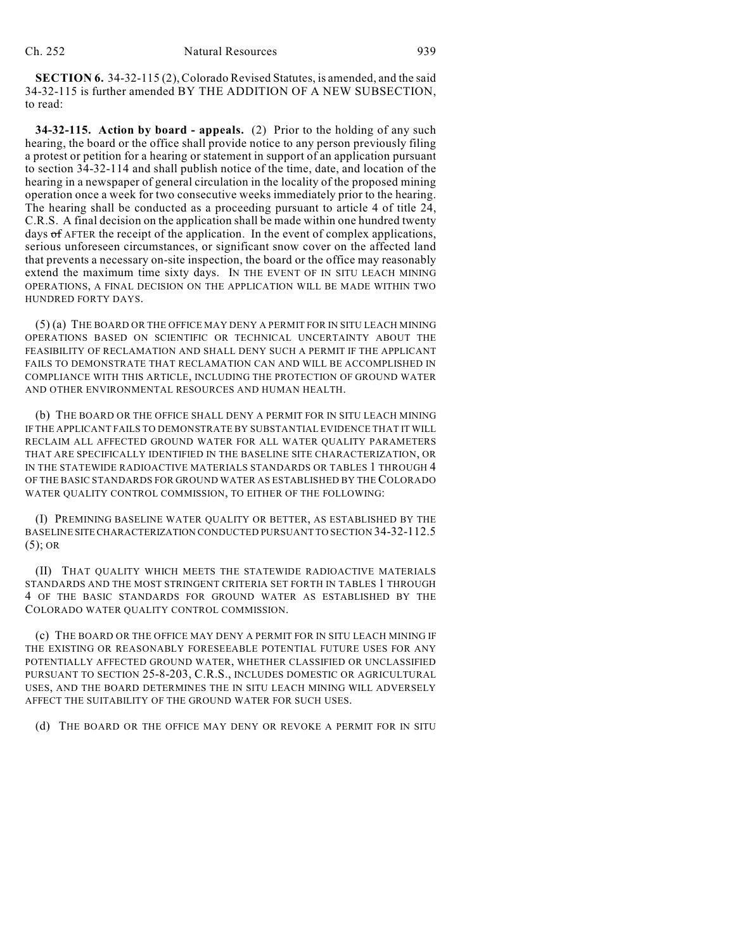**SECTION 6.** 34-32-115 (2), Colorado Revised Statutes, is amended, and the said 34-32-115 is further amended BY THE ADDITION OF A NEW SUBSECTION, to read:

**34-32-115. Action by board - appeals.** (2) Prior to the holding of any such hearing, the board or the office shall provide notice to any person previously filing a protest or petition for a hearing or statement in support of an application pursuant to section 34-32-114 and shall publish notice of the time, date, and location of the hearing in a newspaper of general circulation in the locality of the proposed mining operation once a week for two consecutive weeks immediately prior to the hearing. The hearing shall be conducted as a proceeding pursuant to article 4 of title 24, C.R.S. A final decision on the application shall be made within one hundred twenty days of AFTER the receipt of the application. In the event of complex applications, serious unforeseen circumstances, or significant snow cover on the affected land that prevents a necessary on-site inspection, the board or the office may reasonably extend the maximum time sixty days. IN THE EVENT OF IN SITU LEACH MINING OPERATIONS, A FINAL DECISION ON THE APPLICATION WILL BE MADE WITHIN TWO HUNDRED FORTY DAYS.

(5) (a) THE BOARD OR THE OFFICE MAY DENY A PERMIT FOR IN SITU LEACH MINING OPERATIONS BASED ON SCIENTIFIC OR TECHNICAL UNCERTAINTY ABOUT THE FEASIBILITY OF RECLAMATION AND SHALL DENY SUCH A PERMIT IF THE APPLICANT FAILS TO DEMONSTRATE THAT RECLAMATION CAN AND WILL BE ACCOMPLISHED IN COMPLIANCE WITH THIS ARTICLE, INCLUDING THE PROTECTION OF GROUND WATER AND OTHER ENVIRONMENTAL RESOURCES AND HUMAN HEALTH.

(b) THE BOARD OR THE OFFICE SHALL DENY A PERMIT FOR IN SITU LEACH MINING IF THE APPLICANT FAILS TO DEMONSTRATE BY SUBSTANTIAL EVIDENCE THAT IT WILL RECLAIM ALL AFFECTED GROUND WATER FOR ALL WATER QUALITY PARAMETERS THAT ARE SPECIFICALLY IDENTIFIED IN THE BASELINE SITE CHARACTERIZATION, OR IN THE STATEWIDE RADIOACTIVE MATERIALS STANDARDS OR TABLES 1 THROUGH 4 OF THE BASIC STANDARDS FOR GROUND WATER AS ESTABLISHED BY THE COLORADO WATER QUALITY CONTROL COMMISSION, TO EITHER OF THE FOLLOWING:

(I) PREMINING BASELINE WATER QUALITY OR BETTER, AS ESTABLISHED BY THE BASELINE SITE CHARACTERIZATION CONDUCTED PURSUANT TO SECTION 34-32-112.5  $(5)$ ; OR

(II) THAT QUALITY WHICH MEETS THE STATEWIDE RADIOACTIVE MATERIALS STANDARDS AND THE MOST STRINGENT CRITERIA SET FORTH IN TABLES 1 THROUGH 4 OF THE BASIC STANDARDS FOR GROUND WATER AS ESTABLISHED BY THE COLORADO WATER QUALITY CONTROL COMMISSION.

(c) THE BOARD OR THE OFFICE MAY DENY A PERMIT FOR IN SITU LEACH MINING IF THE EXISTING OR REASONABLY FORESEEABLE POTENTIAL FUTURE USES FOR ANY POTENTIALLY AFFECTED GROUND WATER, WHETHER CLASSIFIED OR UNCLASSIFIED PURSUANT TO SECTION 25-8-203, C.R.S., INCLUDES DOMESTIC OR AGRICULTURAL USES, AND THE BOARD DETERMINES THE IN SITU LEACH MINING WILL ADVERSELY AFFECT THE SUITABILITY OF THE GROUND WATER FOR SUCH USES.

(d) THE BOARD OR THE OFFICE MAY DENY OR REVOKE A PERMIT FOR IN SITU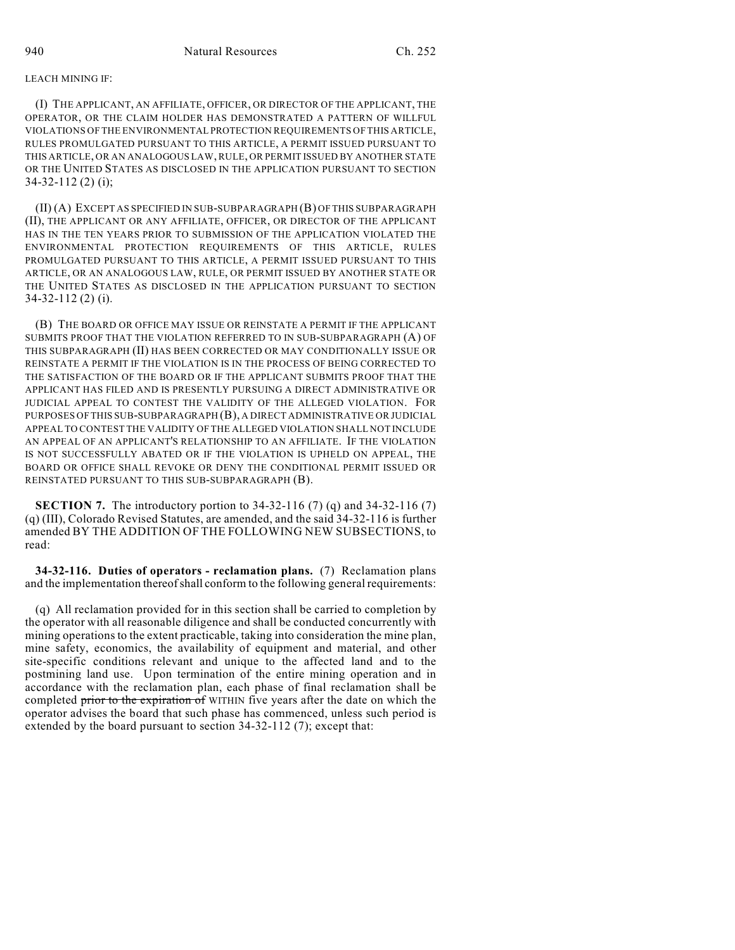## LEACH MINING IF:

(I) THE APPLICANT, AN AFFILIATE, OFFICER, OR DIRECTOR OF THE APPLICANT, THE OPERATOR, OR THE CLAIM HOLDER HAS DEMONSTRATED A PATTERN OF WILLFUL VIOLATIONS OF THE ENVIRONMENTAL PROTECTION REQUIREMENTS OF THIS ARTICLE, RULES PROMULGATED PURSUANT TO THIS ARTICLE, A PERMIT ISSUED PURSUANT TO THIS ARTICLE, OR AN ANALOGOUS LAW, RULE, OR PERMIT ISSUED BY ANOTHER STATE OR THE UNITED STATES AS DISCLOSED IN THE APPLICATION PURSUANT TO SECTION 34-32-112 (2) (i);

(II) (A) EXCEPT AS SPECIFIED IN SUB-SUBPARAGRAPH (B) OF THIS SUBPARAGRAPH (II), THE APPLICANT OR ANY AFFILIATE, OFFICER, OR DIRECTOR OF THE APPLICANT HAS IN THE TEN YEARS PRIOR TO SUBMISSION OF THE APPLICATION VIOLATED THE ENVIRONMENTAL PROTECTION REQUIREMENTS OF THIS ARTICLE, RULES PROMULGATED PURSUANT TO THIS ARTICLE, A PERMIT ISSUED PURSUANT TO THIS ARTICLE, OR AN ANALOGOUS LAW, RULE, OR PERMIT ISSUED BY ANOTHER STATE OR THE UNITED STATES AS DISCLOSED IN THE APPLICATION PURSUANT TO SECTION 34-32-112 (2) (i).

(B) THE BOARD OR OFFICE MAY ISSUE OR REINSTATE A PERMIT IF THE APPLICANT SUBMITS PROOF THAT THE VIOLATION REFERRED TO IN SUB-SUBPARAGRAPH (A) OF THIS SUBPARAGRAPH (II) HAS BEEN CORRECTED OR MAY CONDITIONALLY ISSUE OR REINSTATE A PERMIT IF THE VIOLATION IS IN THE PROCESS OF BEING CORRECTED TO THE SATISFACTION OF THE BOARD OR IF THE APPLICANT SUBMITS PROOF THAT THE APPLICANT HAS FILED AND IS PRESENTLY PURSUING A DIRECT ADMINISTRATIVE OR JUDICIAL APPEAL TO CONTEST THE VALIDITY OF THE ALLEGED VIOLATION. FOR PURPOSES OF THIS SUB-SUBPARAGRAPH (B), A DIRECT ADMINISTRATIVE OR JUDICIAL APPEAL TO CONTEST THE VALIDITY OF THE ALLEGED VIOLATION SHALL NOT INCLUDE AN APPEAL OF AN APPLICANT'S RELATIONSHIP TO AN AFFILIATE. IF THE VIOLATION IS NOT SUCCESSFULLY ABATED OR IF THE VIOLATION IS UPHELD ON APPEAL, THE BOARD OR OFFICE SHALL REVOKE OR DENY THE CONDITIONAL PERMIT ISSUED OR REINSTATED PURSUANT TO THIS SUB-SUBPARAGRAPH (B).

**SECTION 7.** The introductory portion to 34-32-116 (7) (q) and 34-32-116 (7) (q) (III), Colorado Revised Statutes, are amended, and the said 34-32-116 is further amended BY THE ADDITION OF THE FOLLOWING NEW SUBSECTIONS, to read:

**34-32-116. Duties of operators - reclamation plans.** (7) Reclamation plans and the implementation thereof shall conform to the following general requirements:

(q) All reclamation provided for in this section shall be carried to completion by the operator with all reasonable diligence and shall be conducted concurrently with mining operations to the extent practicable, taking into consideration the mine plan, mine safety, economics, the availability of equipment and material, and other site-specific conditions relevant and unique to the affected land and to the postmining land use. Upon termination of the entire mining operation and in accordance with the reclamation plan, each phase of final reclamation shall be completed prior to the expiration of WITHIN five years after the date on which the operator advises the board that such phase has commenced, unless such period is extended by the board pursuant to section 34-32-112 (7); except that: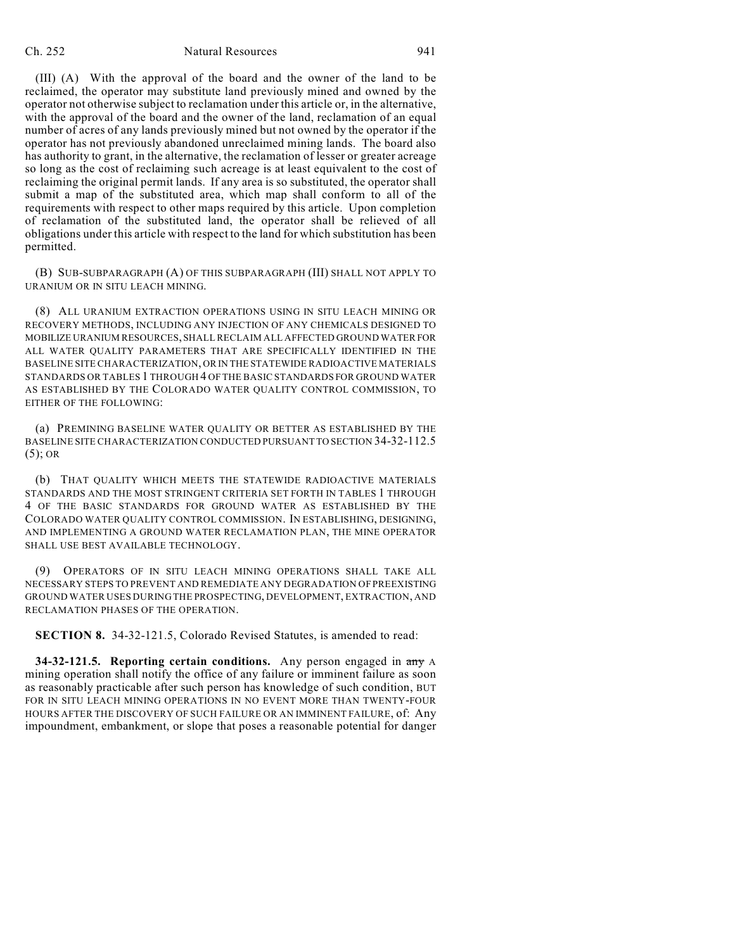## Ch. 252 Natural Resources 941

(III) (A) With the approval of the board and the owner of the land to be reclaimed, the operator may substitute land previously mined and owned by the operator not otherwise subject to reclamation under this article or, in the alternative, with the approval of the board and the owner of the land, reclamation of an equal number of acres of any lands previously mined but not owned by the operator if the operator has not previously abandoned unreclaimed mining lands. The board also has authority to grant, in the alternative, the reclamation of lesser or greater acreage so long as the cost of reclaiming such acreage is at least equivalent to the cost of reclaiming the original permit lands. If any area is so substituted, the operator shall submit a map of the substituted area, which map shall conform to all of the requirements with respect to other maps required by this article. Upon completion of reclamation of the substituted land, the operator shall be relieved of all obligations under this article with respect to the land for which substitution has been permitted.

(B) SUB-SUBPARAGRAPH (A) OF THIS SUBPARAGRAPH (III) SHALL NOT APPLY TO URANIUM OR IN SITU LEACH MINING.

(8) ALL URANIUM EXTRACTION OPERATIONS USING IN SITU LEACH MINING OR RECOVERY METHODS, INCLUDING ANY INJECTION OF ANY CHEMICALS DESIGNED TO MOBILIZE URANIUM RESOURCES, SHALL RECLAIM ALL AFFECTED GROUND WATER FOR ALL WATER QUALITY PARAMETERS THAT ARE SPECIFICALLY IDENTIFIED IN THE BASELINE SITE CHARACTERIZATION, OR IN THE STATEWIDE RADIOACTIVE MATERIALS STANDARDS OR TABLES 1 THROUGH 4 OF THE BASIC STANDARDS FOR GROUND WATER AS ESTABLISHED BY THE COLORADO WATER QUALITY CONTROL COMMISSION, TO EITHER OF THE FOLLOWING:

(a) PREMINING BASELINE WATER QUALITY OR BETTER AS ESTABLISHED BY THE BASELINE SITE CHARACTERIZATION CONDUCTED PURSUANT TO SECTION 34-32-112.5 (5); OR

(b) THAT QUALITY WHICH MEETS THE STATEWIDE RADIOACTIVE MATERIALS STANDARDS AND THE MOST STRINGENT CRITERIA SET FORTH IN TABLES 1 THROUGH 4 OF THE BASIC STANDARDS FOR GROUND WATER AS ESTABLISHED BY THE COLORADO WATER QUALITY CONTROL COMMISSION. IN ESTABLISHING, DESIGNING, AND IMPLEMENTING A GROUND WATER RECLAMATION PLAN, THE MINE OPERATOR SHALL USE BEST AVAILABLE TECHNOLOGY.

(9) OPERATORS OF IN SITU LEACH MINING OPERATIONS SHALL TAKE ALL NECESSARY STEPS TO PREVENT AND REMEDIATE ANY DEGRADATION OF PREEXISTING GROUND WATER USES DURING THE PROSPECTING, DEVELOPMENT, EXTRACTION, AND RECLAMATION PHASES OF THE OPERATION.

**SECTION 8.** 34-32-121.5, Colorado Revised Statutes, is amended to read:

**34-32-121.5. Reporting certain conditions.** Any person engaged in any A mining operation shall notify the office of any failure or imminent failure as soon as reasonably practicable after such person has knowledge of such condition, BUT FOR IN SITU LEACH MINING OPERATIONS IN NO EVENT MORE THAN TWENTY-FOUR HOURS AFTER THE DISCOVERY OF SUCH FAILURE OR AN IMMINENT FAILURE, of: Any impoundment, embankment, or slope that poses a reasonable potential for danger